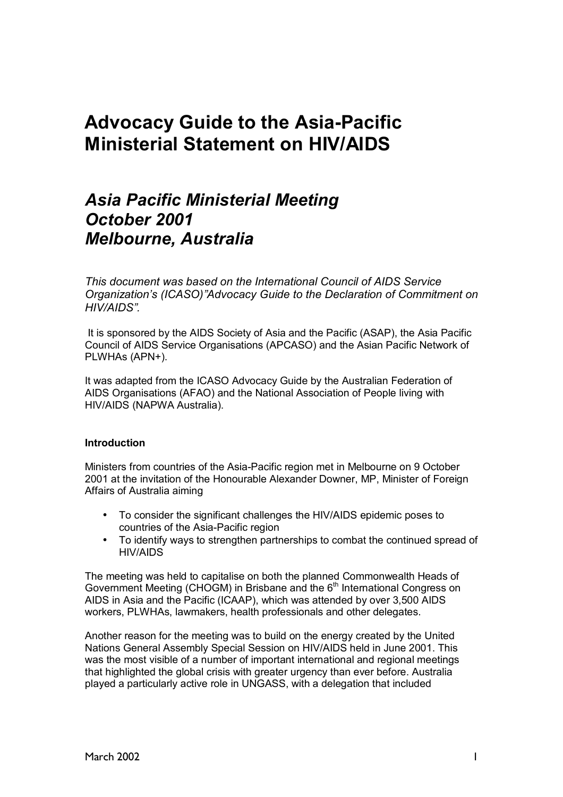# **Advocacy Guide to the Asia-Pacific Ministerial Statement on HIV/AIDS**

# *Asia Pacific Ministerial Meeting October 2001 Melbourne, Australia*

*This document was based on the International Council of AIDS Service Organizationís (ICASO)îAdvocacy Guide to the Declaration of Commitment on HIV/AIDSî.* 

 It is sponsored by the AIDS Society of Asia and the Pacific (ASAP), the Asia Pacific Council of AIDS Service Organisations (APCASO) and the Asian Pacific Network of PLWHAs (APN+).

It was adapted from the ICASO Advocacy Guide by the Australian Federation of AIDS Organisations (AFAO) and the National Association of People living with HIV/AIDS (NAPWA Australia).

#### **Introduction**

Ministers from countries of the Asia-Pacific region met in Melbourne on 9 October 2001 at the invitation of the Honourable Alexander Downer, MP, Minister of Foreign Affairs of Australia aiming

- To consider the significant challenges the HIV/AIDS epidemic poses to countries of the Asia-Pacific region
- To identify ways to strengthen partnerships to combat the continued spread of HIV/AIDS

The meeting was held to capitalise on both the planned Commonwealth Heads of Government Meeting (CHOGM) in Brisbane and the  $6<sup>th</sup>$  International Congress on AIDS in Asia and the Pacific (ICAAP), which was attended by over 3,500 AIDS workers, PLWHAs, lawmakers, health professionals and other delegates.

Another reason for the meeting was to build on the energy created by the United Nations General Assembly Special Session on HIV/AIDS held in June 2001. This was the most visible of a number of important international and regional meetings that highlighted the global crisis with greater urgency than ever before. Australia played a particularly active role in UNGASS, with a delegation that included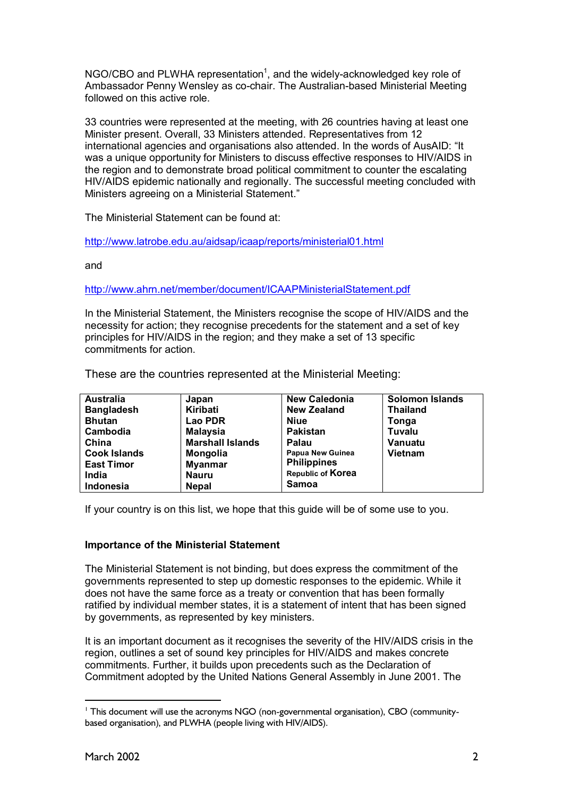NGO/CBO and PLWHA representation<sup>1</sup>, and the widely-acknowledged key role of Ambassador Penny Wensley as co-chair. The Australian-based Ministerial Meeting followed on this active role.

33 countries were represented at the meeting, with 26 countries having at least one Minister present. Overall, 33 Ministers attended. Representatives from 12 international agencies and organisations also attended. In the words of AusAID: "It was a unique opportunity for Ministers to discuss effective responses to HIV/AIDS in the region and to demonstrate broad political commitment to counter the escalating HIV/AIDS epidemic nationally and regionally. The successful meeting concluded with Ministers agreeing on a Ministerial Statement."

The Ministerial Statement can be found at:

http://www.latrobe.edu.au/aidsap/icaap/reports/ministerial01.html

and

http://www.ahrn.net/member/document/ICAAPMinisterialStatement.pdf

In the Ministerial Statement, the Ministers recognise the scope of HIV/AIDS and the necessity for action; they recognise precedents for the statement and a set of key principles for HIV/AIDS in the region; and they make a set of 13 specific commitments for action.

These are the countries represented at the Ministerial Meeting:

| <b>Australia</b>    | Japan                   | <b>New Caledonia</b>    | <b>Solomon Islands</b> |
|---------------------|-------------------------|-------------------------|------------------------|
| <b>Bangladesh</b>   | Kiribati                | <b>New Zealand</b>      | <b>Thailand</b>        |
| <b>Bhutan</b>       | Lao PDR                 | <b>Niue</b>             | Tonga                  |
| Cambodia            | <b>Malaysia</b>         | <b>Pakistan</b>         | Tuvalu                 |
| China               | <b>Marshall Islands</b> | Palau                   | <b>Vanuatu</b>         |
| <b>Cook Islands</b> | Mongolia                | <b>Papua New Guinea</b> | <b>Vietnam</b>         |
| <b>East Timor</b>   | <b>Myanmar</b>          | <b>Philippines</b>      |                        |
| India               | <b>Nauru</b>            | Republic of Korea       |                        |
| Indonesia           | <b>Nepal</b>            | Samoa                   |                        |

If your country is on this list, we hope that this guide will be of some use to you.

# **Importance of the Ministerial Statement**

The Ministerial Statement is not binding, but does express the commitment of the governments represented to step up domestic responses to the epidemic. While it does not have the same force as a treaty or convention that has been formally ratified by individual member states, it is a statement of intent that has been signed by governments, as represented by key ministers.

It is an important document as it recognises the severity of the HIV/AIDS crisis in the region, outlines a set of sound key principles for HIV/AIDS and makes concrete commitments. Further, it builds upon precedents such as the Declaration of Commitment adopted by the United Nations General Assembly in June 2001. The

 $\overline{a}$ 

<sup>&</sup>lt;sup>1</sup> This document will use the acronyms NGO (non-governmental organisation), CBO (communitybased organisation), and PLWHA (people living with HIV/AIDS).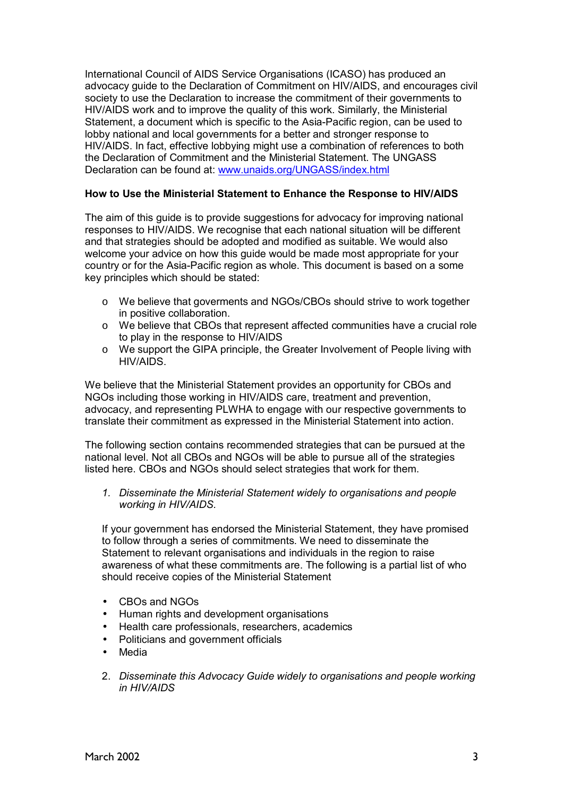International Council of AIDS Service Organisations (ICASO) has produced an advocacy guide to the Declaration of Commitment on HIV/AIDS, and encourages civil society to use the Declaration to increase the commitment of their governments to HIV/AIDS work and to improve the quality of this work. Similarly, the Ministerial Statement, a document which is specific to the Asia-Pacific region, can be used to lobby national and local governments for a better and stronger response to HIV/AIDS. In fact, effective lobbying might use a combination of references to both the Declaration of Commitment and the Ministerial Statement. The UNGASS Declaration can be found at: www.unaids.org/UNGASS/index.html

## **How to Use the Ministerial Statement to Enhance the Response to HIV/AIDS**

The aim of this guide is to provide suggestions for advocacy for improving national responses to HIV/AIDS. We recognise that each national situation will be different and that strategies should be adopted and modified as suitable. We would also welcome your advice on how this guide would be made most appropriate for your country or for the Asia-Pacific region as whole. This document is based on a some key principles which should be stated:

- o We believe that goverments and NGOs/CBOs should strive to work together in positive collaboration.
- o We believe that CBOs that represent affected communities have a crucial role to play in the response to HIV/AIDS
- o We support the GIPA principle, the Greater Involvement of People living with HIV/AIDS.

We believe that the Ministerial Statement provides an opportunity for CBOs and NGOs including those working in HIV/AIDS care, treatment and prevention, advocacy, and representing PLWHA to engage with our respective governments to translate their commitment as expressed in the Ministerial Statement into action.

The following section contains recommended strategies that can be pursued at the national level. Not all CBOs and NGOs will be able to pursue all of the strategies listed here. CBOs and NGOs should select strategies that work for them.

*1. Disseminate the Ministerial Statement widely to organisations and people working in HIV/AIDS.* 

If your government has endorsed the Ministerial Statement, they have promised to follow through a series of commitments. We need to disseminate the Statement to relevant organisations and individuals in the region to raise awareness of what these commitments are. The following is a partial list of who should receive copies of the Ministerial Statement

- CBOs and NGOs
- Human rights and development organisations
- Health care professionals, researchers, academics
- Politicians and government officials
- Media
- 2. *Disseminate this Advocacy Guide widely to organisations and people working in HIV/AIDS*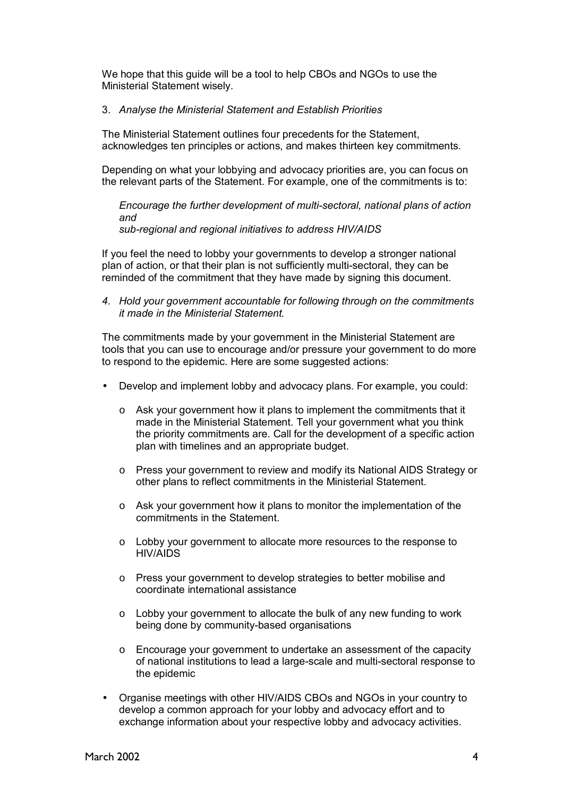We hope that this guide will be a tool to help CBOs and NGOs to use the Ministerial Statement wisely.

### 3. *Analyse the Ministerial Statement and Establish Priorities*

The Ministerial Statement outlines four precedents for the Statement, acknowledges ten principles or actions, and makes thirteen key commitments.

Depending on what your lobbying and advocacy priorities are, you can focus on the relevant parts of the Statement. For example, one of the commitments is to:

*Encourage the further development of multi-sectoral, national plans of action and sub-regional and regional initiatives to address HIV/AIDS* 

If you feel the need to lobby your governments to develop a stronger national plan of action, or that their plan is not sufficiently multi-sectoral, they can be reminded of the commitment that they have made by signing this document.

*4. Hold your government accountable for following through on the commitments it made in the Ministerial Statement.* 

The commitments made by your government in the Ministerial Statement are tools that you can use to encourage and/or pressure your government to do more to respond to the epidemic. Here are some suggested actions:

- Develop and implement lobby and advocacy plans. For example, you could:
	- $\circ$  Ask your government how it plans to implement the commitments that it made in the Ministerial Statement. Tell your government what you think the priority commitments are. Call for the development of a specific action plan with timelines and an appropriate budget.
	- o Press your government to review and modify its National AIDS Strategy or other plans to reflect commitments in the Ministerial Statement.
	- $\circ$  Ask your government how it plans to monitor the implementation of the commitments in the Statement.
	- o Lobby your government to allocate more resources to the response to HIV/AIDS
	- o Press your government to develop strategies to better mobilise and coordinate international assistance
	- $\circ$  Lobby your government to allocate the bulk of any new funding to work being done by community-based organisations
	- o Encourage your government to undertake an assessment of the capacity of national institutions to lead a large-scale and multi-sectoral response to the epidemic
- Organise meetings with other HIV/AIDS CBOs and NGOs in your country to develop a common approach for your lobby and advocacy effort and to exchange information about your respective lobby and advocacy activities.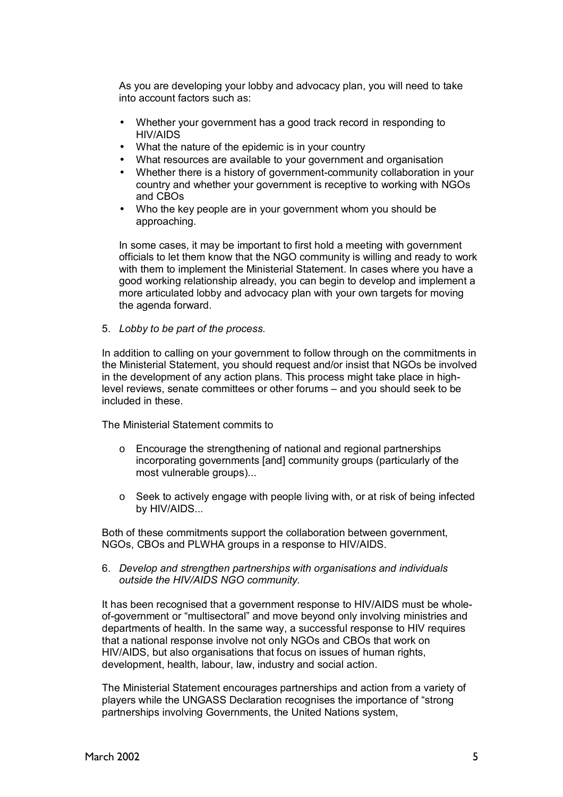As you are developing your lobby and advocacy plan, you will need to take into account factors such as:

- Whether your government has a good track record in responding to HIV/AIDS
- What the nature of the epidemic is in your country
- What resources are available to your government and organisation
- Whether there is a history of government-community collaboration in your country and whether your government is receptive to working with NGOs and CBOs
- Who the key people are in your government whom you should be approaching.

In some cases, it may be important to first hold a meeting with government officials to let them know that the NGO community is willing and ready to work with them to implement the Ministerial Statement. In cases where you have a good working relationship already, you can begin to develop and implement a more articulated lobby and advocacy plan with your own targets for moving the agenda forward.

5. *Lobby to be part of the process.*

In addition to calling on your government to follow through on the commitments in the Ministerial Statement, you should request and/or insist that NGOs be involved in the development of any action plans. This process might take place in highlevel reviews, senate committees or other forums – and you should seek to be included in these.

The Ministerial Statement commits to

- o Encourage the strengthening of national and regional partnerships incorporating governments [and] community groups (particularly of the most vulnerable groups)...
- $\circ$  Seek to actively engage with people living with, or at risk of being infected by HIV/AIDS...

Both of these commitments support the collaboration between government, NGOs, CBOs and PLWHA groups in a response to HIV/AIDS.

6. *Develop and strengthen partnerships with organisations and individuals outside the HIV/AIDS NGO community.*

It has been recognised that a government response to HIV/AIDS must be wholeof-government or "multisectoral" and move beyond only involving ministries and departments of health. In the same way, a successful response to HIV requires that a national response involve not only NGOs and CBOs that work on HIV/AIDS, but also organisations that focus on issues of human rights, development, health, labour, law, industry and social action.

The Ministerial Statement encourages partnerships and action from a variety of players while the UNGASS Declaration recognises the importance of "strong" partnerships involving Governments, the United Nations system,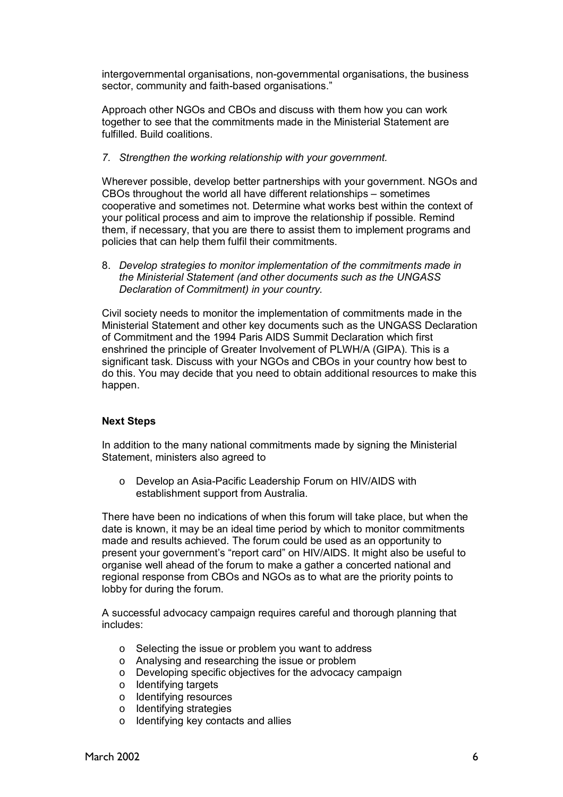intergovernmental organisations, non-governmental organisations, the business sector, community and faith-based organisations."

Approach other NGOs and CBOs and discuss with them how you can work together to see that the commitments made in the Ministerial Statement are fulfilled. Build coalitions.

### *7. Strengthen the working relationship with your government.*

Wherever possible, develop better partnerships with your government. NGOs and  $CBOs$  throughout the world all have different relationships  $-$  sometimes cooperative and sometimes not. Determine what works best within the context of your political process and aim to improve the relationship if possible. Remind them, if necessary, that you are there to assist them to implement programs and policies that can help them fulfil their commitments.

8. *Develop strategies to monitor implementation of the commitments made in the Ministerial Statement (and other documents such as the UNGASS Declaration of Commitment) in your country.*

Civil society needs to monitor the implementation of commitments made in the Ministerial Statement and other key documents such as the UNGASS Declaration of Commitment and the 1994 Paris AIDS Summit Declaration which first enshrined the principle of Greater Involvement of PLWH/A (GIPA). This is a significant task. Discuss with your NGOs and CBOs in your country how best to do this. You may decide that you need to obtain additional resources to make this happen.

# **Next Steps**

In addition to the many national commitments made by signing the Ministerial Statement, ministers also agreed to

o Develop an Asia-Pacific Leadership Forum on HIV/AIDS with establishment support from Australia.

There have been no indications of when this forum will take place, but when the date is known, it may be an ideal time period by which to monitor commitments made and results achieved. The forum could be used as an opportunity to present your government's "report card" on HIV/AIDS. It might also be useful to organise well ahead of the forum to make a gather a concerted national and regional response from CBOs and NGOs as to what are the priority points to lobby for during the forum.

A successful advocacy campaign requires careful and thorough planning that includes:

- o Selecting the issue or problem you want to address
- o Analysing and researching the issue or problem
- o Developing specific objectives for the advocacy campaign
- o Identifying targets
- o Identifying resources
- o Identifying strategies
- o Identifying key contacts and allies